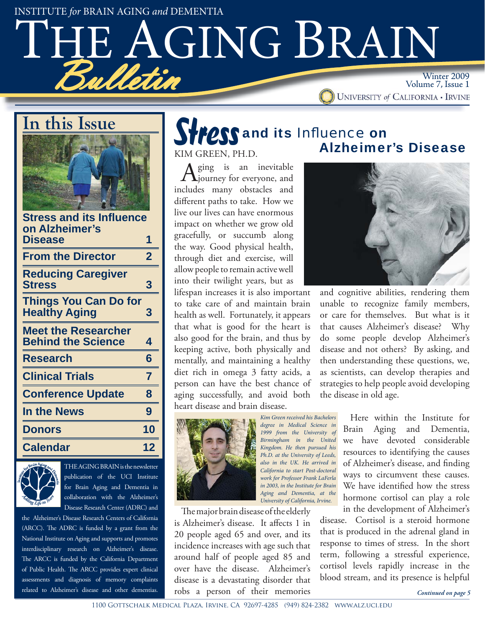INSTITUTE *for* BRAIN AGING *and* DEMENTIA

# TAGING BRAIN Bulletin Winter 2009 Volume 7, Issue 1

### **In this Issue**



| <b>Stress and its Influence</b><br>on Alzheimer's       |                         |
|---------------------------------------------------------|-------------------------|
| <b>Disease</b>                                          | 1                       |
| <b>From the Director</b>                                | $\overline{\mathbf{2}}$ |
| <b>Reducing Caregiver</b><br><b>Stress</b>              | 3                       |
| <b>Things You Can Do for</b><br><b>Healthy Aging</b>    | 3                       |
| <b>Meet the Researcher</b><br><b>Behind the Science</b> | 4                       |
| Research                                                | 6                       |
| <b>Clinical Trials</b>                                  | 7                       |
| <b>Conference Update</b>                                | 8                       |
| <b>In the News</b>                                      | 9                       |
| <b>Donors</b>                                           | 10                      |
| <b>Calendar</b>                                         | 12                      |
|                                                         |                         |



THE AGING BRAIN is the newsletter publication of the UCI Institute for Brain Aging and Dementia in collaboration with the Alzheimer's Disease Research Center (ADRC) and

the Alzheimer's Disease Research Centers of California (ARCC). The ADRC is funded by a grant from the National Institute on Aging and supports and promotes interdisciplinary research on Alzheimer's disease. The ARCC is funded by the California Department of Public Health. The ARCC provides expert clinical assessments and diagnosis of memory complaints related to Alzheimer's disease and other dementias.

# and its *Infl uence* on

KIM GREEN, PH.D.

Aging is an inevitable<br>
journey for everyone, and includes many obstacles and different paths to take. How we live our lives can have enormous impact on whether we grow old gracefully, or succumb along the way. Good physical health, through diet and exercise, will allow people to remain active well into their twilight years, but as

lifespan increases it is also important to take care of and maintain brain health as well. Fortunately, it appears that what is good for the heart is also good for the brain, and thus by keeping active, both physically and mentally, and maintaining a healthy diet rich in omega 3 fatty acids, a person can have the best chance of aging successfully, and avoid both heart disease and brain disease.



*degree in Medical Science in 1999 from the University of Birmingham in the United Kingdom. He then pursued his Ph.D. at the University of Leeds, also in the UK. He arrived in California to start Post-doctoral work for Professor Frank LaFerla in 2003, in the Institute for Brain Aging and Dementia, at the University of California, Irvine.*

*Kim Green received his Bachelors* 

The major brain disease of the elderly is Alzheimer's disease. It affects 1 in 20 people aged 65 and over, and its incidence increases with age such that around half of people aged 85 and over have the disease. Alzheimer's disease is a devastating disorder that robs a person of their memories

# **Stress and its Influence on<br>KIM GREEN PH DEALLY Alzheimer's Disease**



and cognitive abilities, rendering them unable to recognize family members, or care for themselves. But what is it that causes Alzheimer's disease? Why do some people develop Alzheimer's disease and not others? By asking, and then understanding these questions, we, as scientists, can develop therapies and strategies to help people avoid developing the disease in old age.

> Here within the Institute for Brain Aging and Dementia, we have devoted considerable resources to identifying the causes of Alzheimer's disease, and finding ways to circumvent these causes. We have identified how the stress hormone cortisol can play a role in the development of Alzheimer's

disease. Cortisol is a steroid hormone that is produced in the adrenal gland in response to times of stress. In the short term, following a stressful experience, cortisol levels rapidly increase in the blood stream, and its presence is helpful

*Continued on page 5*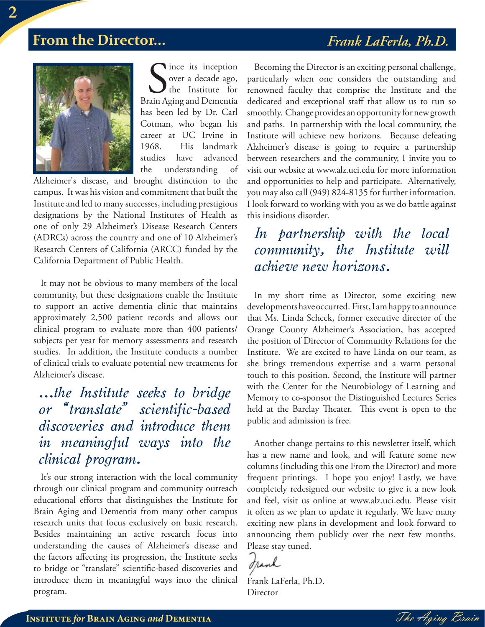### **From the Director...** *Frank LaFerla, Ph.D.*



Since its inception<br>
over a decade ago,<br>
the Institute for<br>
Brain Aging and Dementia lince its inception over a decade ago,  $\int$  the Institute for has been led by Dr. Carl Cotman, who began his career at UC Irvine in 1968. His landmark studies have advanced the understanding of

Alzheimer's disease, and brought distinction to the campus. It was his vision and commitment that built the Institute and led to many successes, including prestigious designations by the National Institutes of Health as one of only 29 Alzheimer's Disease Research Centers (ADRCs) across the country and one of 10 Alzheimer's Research Centers of California (ARCC) funded by the California Department of Public Health.

It may not be obvious to many members of the local community, but these designations enable the Institute to support an active dementia clinic that maintains approximately 2,500 patient records and allows our clinical program to evaluate more than 400 patients/ subjects per year for memory assessments and research studies. In addition, the Institute conducts a number of clinical trials to evaluate potential new treatments for Alzheimer's disease.

### *...the Institute seeks to bridge or "translate" scientific-based discoveries and introduce them in meaningful ways into the clinical program.*

It's our strong interaction with the local community through our clinical program and community outreach educational efforts that distinguishes the Institute for Brain Aging and Dementia from many other campus research units that focus exclusively on basic research. Besides maintaining an active research focus into understanding the causes of Alzheimer's disease and the factors affecting its progression, the Institute seeks to bridge or "translate" scientific-based discoveries and introduce them in meaningful ways into the clinical program.

Becoming the Director is an exciting personal challenge, particularly when one considers the outstanding and renowned faculty that comprise the Institute and the dedicated and exceptional staff that allow us to run so smoothly. Change provides an opportunity for new growth and paths. In partnership with the local community, the Institute will achieve new horizons. Because defeating Alzheimer's disease is going to require a partnership between researchers and the community, I invite you to visit our website at www.alz.uci.edu for more information and opportunities to help and participate. Alternatively, you may also call (949) 824-8135 for further information. I look forward to working with you as we do battle against this insidious disorder.

### *In partnership with the local community, the Institute will achieve new horizons.*

In my short time as Director, some exciting new developments have occurred. First, I am happy to announce that Ms. Linda Scheck, former executive director of the Orange County Alzheimer's Association, has accepted the position of Director of Community Relations for the Institute. We are excited to have Linda on our team, as she brings tremendous expertise and a warm personal touch to this position. Second, the Institute will partner with the Center for the Neurobiology of Learning and Memory to co-sponsor the Distinguished Lectures Series held at the Barclay Theater. This event is open to the public and admission is free.

Another change pertains to this newsletter itself, which has a new name and look, and will feature some new columns (including this one From the Director) and more frequent printings. I hope you enjoy! Lastly, we have completely redesigned our website to give it a new look and feel, visit us online at www.alz.uci.edu. Please visit it often as we plan to update it regularly. We have many exciting new plans in development and look forward to announcing them publicly over the next few months. Please stay tuned.

Iranh

Frank LaFerla, Ph.D. **Director** 

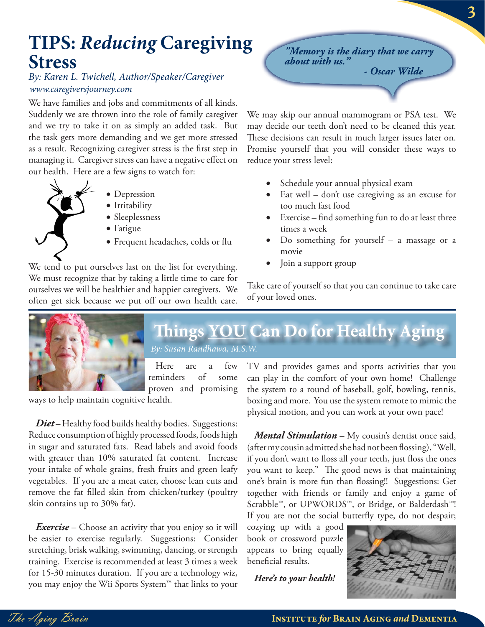## **TIPS:** *Reducing* **Caregiving Stress**

#### *By: Karen L. Twichell, Author/Speaker/Caregiver www.caregiversjourney.com*

We have families and jobs and commitments of all kinds. Suddenly we are thrown into the role of family caregiver and we try to take it on as simply an added task. But the task gets more demanding and we get more stressed as a result. Recognizing caregiver stress is the first step in managing it. Caregiver stress can have a negative effect on our health. Here are a few signs to watch for:

- 
- Depression
- Irritability
- Sleeplessness
- Fatigue
- Frequent headaches, colds or flu

We tend to put ourselves last on the list for everything. We must recognize that by taking a little time to care for ourselves we will be healthier and happier caregivers. We often get sick because we put off our own health care. *"Memory is the diary that we carry about with us." - Oscar Wilde*

We may skip our annual mammogram or PSA test. We may decide our teeth don't need to be cleaned this year. These decisions can result in much larger issues later on. Promise yourself that you will consider these ways to reduce your stress level:

- Schedule your annual physical exam
- Eat well don't use caregiving as an excuse for too much fast food
- Exercise find something fun to do at least three times a week
- Do something for yourself a massage or a movie
- Join a support group

Take care of yourself so that you can continue to take care of your loved ones.



*By: Susan Randhawa, M.S.W. By: Susan Randhawa,* **Th ings YOU Can Do for Healthy Aging** 

Here are a few reminders of some proven and promising

ways to help maintain cognitive health.

*Diet* – Healthy food builds healthy bodies. Suggestions: Reduce consumption of highly processed foods, foods high in sugar and saturated fats. Read labels and avoid foods with greater than 10% saturated fat content. Increase your intake of whole grains, fresh fruits and green leafy vegetables. If you are a meat eater, choose lean cuts and remove the fat filled skin from chicken/turkey (poultry skin contains up to 30% fat).

*Exercise* – Choose an activity that you enjoy so it will be easier to exercise regularly. Suggestions: Consider stretching, brisk walking, swimming, dancing, or strength training. Exercise is recommended at least 3 times a week for 15-30 minutes duration. If you are a technology wiz, you may enjoy the Wii Sports System™ that links to your TV and provides games and sports activities that you can play in the comfort of your own home! Challenge the system to a round of baseball, golf, bowling, tennis, boxing and more. You use the system remote to mimic the physical motion, and you can work at your own pace!

*Mental Stimulation* – My cousin's dentist once said, (after my cousin admitted she had not been flossing), "Well, if you don't want to floss all your teeth, just floss the ones you want to keep." The good news is that maintaining one's brain is more fun than flossing!! Suggestions: Get together with friends or family and enjoy a game of Scrabble™, or UPWORDS™, or Bridge, or Balderdash™! If you are not the social butterfly type, do not despair;

cozying up with a good book or crossword puzzle appears to bring equally beneficial results.

*Here's to your health!*

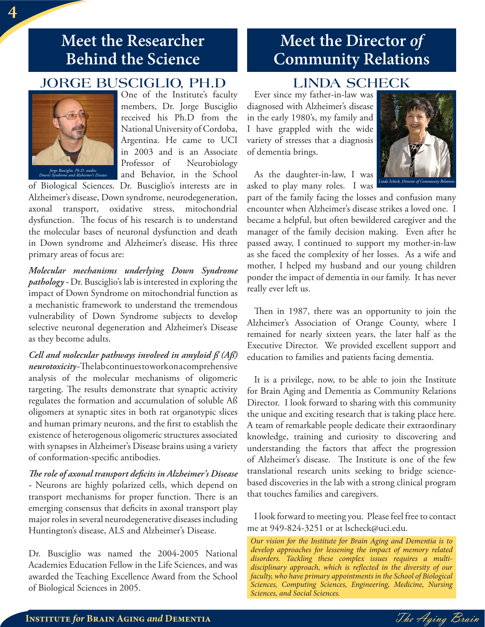### **Meet the Researcher Behind the Science**

### **JORGE BUSCIGLIO, PH.D**



*Jorge Busciglio, Ph.D. studies Down's Syndrome and Alzheimer's Disease*

One of the Institute's faculty members, Dr. Jorge Busciglio received his Ph.D from the National University of Cordoba, Argentina. He came to UCI in 2003 and is an Associate Professor of Neurobiology and Behavior, in the School

of Biological Sciences. Dr. Busciglio's interests are in Alzheimer's disease, Down syndrome, neurodegeneration, axonal transport, oxidative stress, mitochondrial dysfunction. The focus of his research is to understand the molecular bases of neuronal dysfunction and death in Down syndrome and Alzheimer's disease. His three primary areas of focus are:

*Molecular mechanisms underlying Down Syndrome pathology -* Dr. Busciglio's lab is interested in exploring the impact of Down Syndrome on mitochondrial function as a mechanistic framework to understand the tremendous vulnerability of Down Syndrome subjects to develop selective neuronal degeneration and Alzheimer's Disease as they become adults.

*Cell and molecular pathways involved in amyloid ß (Aß) neurotoxicity*-Thelabcontinuestoworkonacomprehensive analysis of the molecular mechanisms of oligomeric targeting. The results demonstrate that synaptic activity regulates the formation and accumulation of soluble Aß oligomers at synaptic sites in both rat organotypic slices and human primary neurons, and the first to establish the existence of heterogenous oligomeric structures associated with synapses in Alzheimer's Disease brains using a variety of conformation-specific antibodies.

*The role of axonal transport deficits in Alzheimer's Disease -* Neurons are highly polarized cells, which depend on transport mechanisms for proper function. There is an emerging consensus that deficits in axonal transport play major roles in several neurodegenerative diseases including Huntington's disease, ALS and Alzheimer's Disease.

Dr. Busciglio was named the 2004-2005 National Academies Education Fellow in the Life Sciences, and was awarded the Teaching Excellence Award from the School of Biological Sciences in 2005.

### **Meet the Director** *of* **Community Relations**

### **LINDA SCHECK**

Ever since my father-in-law was diagnosed with Alzheimer's disease in the early 1980's, my family and I have grappled with the wide variety of stresses that a diagnosis of dementia brings.



As the daughter-in-law, I was asked to play many roles. I was

part of the family facing the losses and confusion many encounter when Alzheimer's disease strikes a loved one. I became a helpful, but often bewildered caregiver and the manager of the family decision making. Even after he passed away, I continued to support my mother-in-law as she faced the complexity of her losses. As a wife and mother, I helped my husband and our young children ponder the impact of dementia in our family. It has never really ever left us.

Then in 1987, there was an opportunity to join the Alzheimer's Association of Orange County, where I remained for nearly sixteen years, the later half as the Executive Director. We provided excellent support and education to families and patients facing dementia.

It is a privilege, now, to be able to join the Institute for Brain Aging and Dementia as Community Relations Director. I look forward to sharing with this community the unique and exciting research that is taking place here. A team of remarkable people dedicate their extraordinary knowledge, training and curiosity to discovering and understanding the factors that affect the progression of Alzheimer's disease. The Institute is one of the few translational research units seeking to bridge sciencebased discoveries in the lab with a strong clinical program that touches families and caregivers.

I look forward to meeting you. Please feel free to contact me at 949-824-3251 or at lscheck@uci.edu.

*Our vision for the Institute for Brain Aging and Dementia is to develop approaches for lessening the impact of memory related disorders. Tackling these complex issues requires a multi*disciplinary approach, which is reflected in the diversity of our *faculty, who have primary appointments in the School of Biological Sciences, Computing Sciences, Engineering, Medicine, Nursing Sciences, and Social Sciences.* 

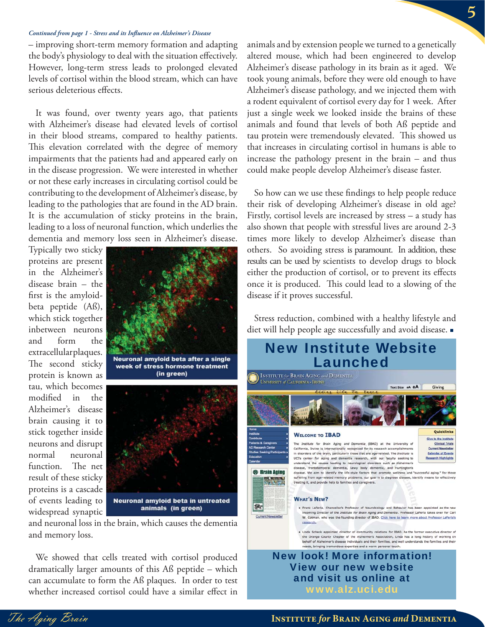#### *Continued from page 1 - Stress and its Infl uence on Alzheimer's Disease*

– improving short-term memory formation and adapting the body's physiology to deal with the situation effectively. However, long-term stress leads to prolonged elevated levels of cortisol within the blood stream, which can have serious deleterious effects.

It was found, over twenty years ago, that patients with Alzheimer's disease had elevated levels of cortisol in their blood streams, compared to healthy patients. This elevation correlated with the degree of memory impairments that the patients had and appeared early on in the disease progression. We were interested in whether or not these early increases in circulating cortisol could be contributing to the development of Alzheimer's disease, by leading to the pathologies that are found in the AD brain. It is the accumulation of sticky proteins in the brain, leading to a loss of neuronal function, which underlies the dementia and memory loss seen in Alzheimer's disease.

Typically two sticky proteins are present in the Alzheimer's disease brain – the first is the amyloidbeta peptide (Aß), which stick together inbetween neurons and form the extracellular plaques. The second sticky protein is known as tau, which becomes modified in the Alzheimer's disease brain causing it to stick together inside neurons and disrupt normal neuronal function. The net result of these sticky proteins is a cascade of events leading to widespread synaptic



and neuronal loss in the brain, which causes the dementia and memory loss.

We showed that cells treated with cortisol produced dramatically larger amounts of this Aß peptide – which can accumulate to form the Aß plaques. In order to test whether increased cortisol could have a similar effect in

animals and by extension people we turned to a genetically altered mouse, which had been engineered to develop Alzheimer's disease pathology in its brain as it aged. We took young animals, before they were old enough to have Alzheimer's disease pathology, and we injected them with a rodent equivalent of cortisol every day for 1 week. After just a single week we looked inside the brains of these animals and found that levels of both Aß peptide and tau protein were tremendously elevated. This showed us that increases in circulating cortisol in humans is able to increase the pathology present in the brain – and thus could make people develop Alzheimer's disease faster.

So how can we use these findings to help people reduce their risk of developing Alzheimer's disease in old age? Firstly, cortisol levels are increased by stress – a study has also shown that people with stressful lives are around 2-3 times more likely to develop Alzheimer's disease than others. So avoiding stress is paramount. In addition, these results can be used by scientists to develop drugs to block either the production of cortisol, or to prevent its effects once it is produced. This could lead to a slowing of the disease if it proves successful.

Stress reduction, combined with a healthy lifestyle and diet will help people age successfully and avoid disease.



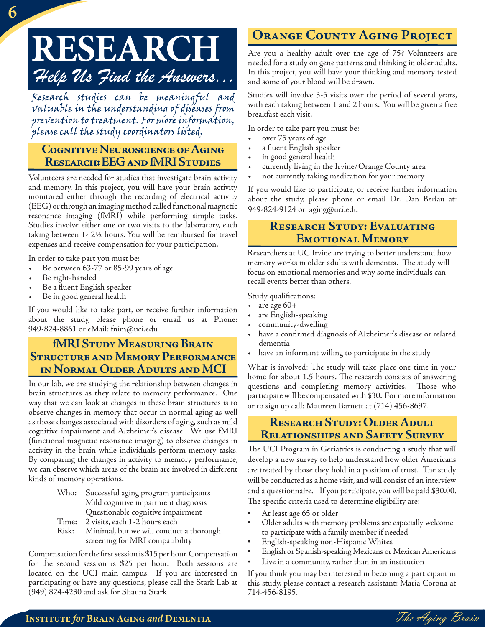# **RESEARCH** *Help Us Find the Answers...*

Research studies can be meaningful and valuable in the understanding of diseases from prevention to treatment. For more information, please call the study coordinators listed.

#### **Cognitive Neuroscience of Aging Research: EEG and fMRI Studies**

Volunteers are needed for studies that investigate brain activity and memory. In this project, you will have your brain activity monitored either through the recording of electrical activity (EEG) or through an imaging method called functional magnetic resonance imaging (fMRI) while performing simple tasks. Studies involve either one or two visits to the laboratory, each taking between 1- 2½ hours. You will be reimbursed for travel expenses and receive compensation for your participation.

In order to take part you must be:

- Be between 63-77 or 85-99 years of age
- Be right-handed
- Be a fluent English speaker
- Be in good general health

If you would like to take part, or receive further information about the study, please phone or email us at Phone: 949-824-8861 or eMail: fnim@uci.edu

#### **fMRI Study Measuring Brain Structure and Memory Performance in Normal Older Adults and MCI**

In our lab, we are studying the relationship between changes in brain structures as they relate to memory performance. One way that we can look at changes in these brain structures is to observe changes in memory that occur in normal aging as well as those changes associated with disorders of aging, such as mild cognitive impairment and Alzheimer's disease. We use fMRI (functional magnetic resonance imaging) to observe changes in activity in the brain while individuals perform memory tasks. By comparing the changes in activity to memory performance, we can observe which areas of the brain are involved in different kinds of memory operations.

- Who: Successful aging program participants Mild cognitive impairment diagnosis Questionable cognitive impairment
- Time: 2 visits, each 1-2 hours each
- Risk: Minimal, but we will conduct a thorough screening for MRI compatibility

Compensation for the first session is \$15 per hour. Compensation for the second session is \$25 per hour. Both sessions are located on the UCI main campus. If you are interested in participating or have any questions, please call the Stark Lab at (949) 824-4230 and ask for Shauna Stark.

### **Orange County Aging Project**

Are you a healthy adult over the age of 75? Volunteers are needed for a study on gene patterns and thinking in older adults. In this project, you will have your thinking and memory tested and some of your blood will be drawn.

Studies will involve 3-5 visits over the period of several years, with each taking between 1 and 2 hours. You will be given a free breakfast each visit.

In order to take part you must be:

- over 75 years of age
- a fluent English speaker
- in good general health
- currently living in the Irvine/Orange County area
- not currently taking medication for your memory

If you would like to participate, or receive further information about the study, please phone or email Dr. Dan Berlau at: 949-824-9124 or aging@uci.edu

#### **Research Study: Evaluating Emotional Memory**

Researchers at UC Irvine are trying to better understand how memory works in older adults with dementia. The study will focus on emotional memories and why some individuals can recall events better than others.

Study qualifications:

- $\cdot$  are age  $60+$
- are English-speaking
- community-dwelling
- have a confirmed diagnosis of Alzheimer's disease or related dementia
- have an informant willing to participate in the study

What is involved: The study will take place one time in your home for about 1.5 hours. The research consists of answering questions and completing memory activities. Those who participate will be compensated with \$30. For more information or to sign up call: Maureen Barnett at (714) 456-8697.

#### **Research Study: Older Adult Relationships and Safety Survey**

The UCI Program in Geriatrics is conducting a study that will develop a new survey to help understand how older Americans are treated by those they hold in a position of trust. The study will be conducted as a home visit, and will consist of an interview and a questionnaire. If you participate, you will be paid \$30.00. The specific criteria used to determine eligibility are:

- At least age 65 or older
- Older adults with memory problems are especially welcome to participate with a family member if needed
- English-speaking non-Hispanic Whites
- English or Spanish-speaking Mexicans or Mexican Americans
- Live in a community, rather than in an institution

If you think you may be interested in becoming a participant in this study, please contact a research assistant: Maria Corona at 714-456-8195.

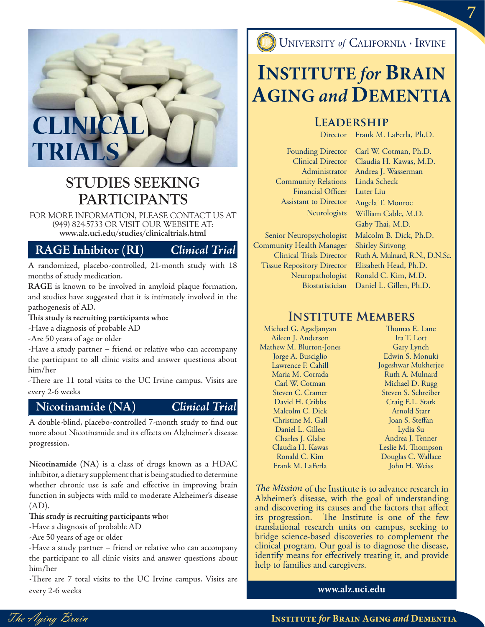

### **STUDIES SEEKING PARTICIPANTS**

FOR MORE INFORMATION, PLEASE CONTACT US AT (949) 824-5733 OR VISIT OUR WEBSITE AT: **www.alz.uci.edu/studies/clinicaltrials.html**

#### **RAGE Inhibitor (RI)** *Clinical Trial*

A randomized, placebo-controlled, 21-month study with 18 months of study medication.

**RAGE** is known to be involved in amyloid plaque formation, and studies have suggested that it is intimately involved in the pathogenesis of AD.

This study is recruiting participants who:

-Have a diagnosis of probable AD

-Are 50 years of age or older

-Have a study partner – friend or relative who can accompany the participant to all clinic visits and answer questions about him/her

-There are 11 total visits to the UC Irvine campus. Visits are every 2-6 weeks

#### **Nicotinamide (NA)** *Clinical Trial*

A double-blind, placebo-controlled 7-month study to find out more about Nicotinamide and its effects on Alzheimer's disease progression.

**Nicotinamide (NA)** is a class of drugs known as a HDAC inhibitor, a dietary supplement that is being studied to determine whether chronic use is safe and effective in improving brain function in subjects with mild to moderate Alzheimer's disease (AD).

This study is recruiting participants who:

-Have a diagnosis of probable AD

-Are 50 years of age or older

-Have a study partner – friend or relative who can accompany the participant to all clinic visits and answer questions about him/her

-There are 7 total visits to the UC Irvine campus. Visits are every 2-6 weeks **www.alz.uci.edu**

UNIVERSITY of CALIFORNIA · IRVINE

## **INSTITUTE** *for* **BRAIN AGING** *and* **DEMENTIA**

#### **Leadership**

Director Frank M. LaFerla, Ph.D.

Founding Director Clinical Director Administrator Community Relations Financial Officer Assistant to Director **Neurologists** 

Senior Neuropsychologist Community Health Manager Clinical Trials Director Tissue Repository Director Neuropathologist Biostatistician

Carl W. Cotman, Ph.D. Claudia H. Kawas, M.D. Andrea J. Wasserman Linda Scheck Luter Liu Angela T. Monroe William Cable, M.D. Gaby Thai, M.D. Malcolm B. Dick, Ph.D. Shirley Sirivong Ruth A. Mulnard, R.N., D.N.Sc. Elizabeth Head, Ph.D. Ronald C. Kim, M.D. Daniel L. Gillen, Ph.D.

#### **Institute Members**

Michael G. Agadjanyan Aileen J. Anderson Mathew M. Blurton-Jones Jorge A. Busciglio Lawrence F. Cahill Maria M. Corrada Carl W. Cotman Steven C. Cramer David H. Cribbs Malcolm C. Dick Christine M. Gall Daniel L. Gillen Charles J. Glabe Claudia H. Kawas Ronald C. Kim Frank M. LaFerla

Thomas E. Lane Ira T. Lott Gary Lynch Edwin S. Monuki Jogeshwar Mukherjee Ruth A. Mulnard Michael D. Rugg Steven S. Schreiber Craig E.L. Stark Arnold Starr Joan S. Steffan Lydia Su Andrea J. Tenner Leslie M. Thompson Douglas C. Wallace John H. Weiss

The Mission of the Institute is to advance research in Alzheimer's disease, with the goal of understanding and discovering its causes and the factors that affect its progression. The Institute is one of the few translational research units on campus, seeking to bridge science-based discoveries to complement the clinical program. Our goal is to diagnose the disease, identify means for effectively treating it, and provide help to families and caregivers.

The Aging Brain **Institute** *for* **Brain Aging** *and* **Dementia**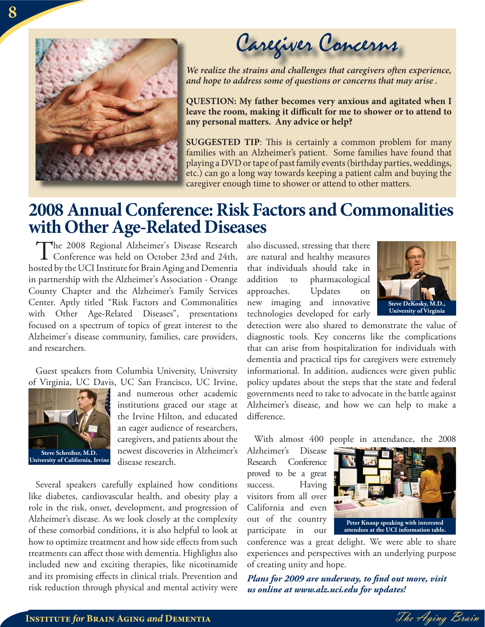

Caregiver Concerns

*We realize the strains and challenges that caregivers often experience, and hope to address some of questions or concerns that may arise . a*

**QUESTION: My father becomes very anxious and agitated when I Q** leave the room, making it difficult for me to shower or to attend to **any personal matters. Any advice or help? a**

**SUGGESTED TIP:** This is certainly a common problem for many families with an Alzheimer's patient. Some families have found that playing a DVD or tape of past family events (birthday parties, weddings, p etc.) can go a long way towards keeping a patient calm and buying the e caregiver enough time to shower or attend to other matters. c

### **2008 Annual Conference: Risk Factors and Commonalities with Other Age-Related Diseases**

The 2008 Regional Alzheimer's Disease Research Conference was held on October 23rd and 24th, hosted by the UCI Institute for Brain Aging and Dementia in partnership with the Alzheimer's Association - Orange County Chapter and the Alzheimer's Family Services Center. Aptly titled "Risk Factors and Commonalities with Other Age-Related Diseases", presentations focused on a spectrum of topics of great interest to the Alzheimer's disease community, families, care providers, and researchers.

Guest speakers from Columbia University, University of Virginia, UC Davis, UC San Francisco, UC Irvine,



and numerous other academic institutions graced our stage at the Irvine Hilton, and educated an eager audience of researchers, caregivers, and patients about the newest discoveries in Alzheimer's disease research.

Several speakers carefully explained how conditions like diabetes, cardiovascular health, and obesity play a role in the risk, onset, development, and progression of Alzheimer's disease. As we look closely at the complexity of these comorbid conditions, it is also helpful to look at how to optimize treatment and how side effects from such treatments can affect those with dementia. Highlights also included new and exciting therapies, like nicotinamide and its promising effects in clinical trials. Prevention and risk reduction through physical and mental activity were also discussed, stressing that there are natural and healthy measures that individuals should take in addition to pharmacological approaches. Updates on new imaging and innovative technologies developed for early



detection were also shared to demonstrate the value of diagnostic tools. Key concerns like the complications that can arise from hospitalization for individuals with dementia and practical tips for caregivers were extremely informational. In addition, audiences were given public policy updates about the steps that the state and federal governments need to take to advocate in the battle against Alzheimer's disease, and how we can help to make a difference.

With almost 400 people in attendance, the 2008

Alzheimer's Disease Research Conference proved to be a great success. Having visitors from all over California and even out of the country participate in our



conference was a great delight. We were able to share experiences and perspectives with an underlying purpose of creating unity and hope.

*Plans for 2009 are underway, to find out more, visit us online at www.alz.uci.edu for updates!*

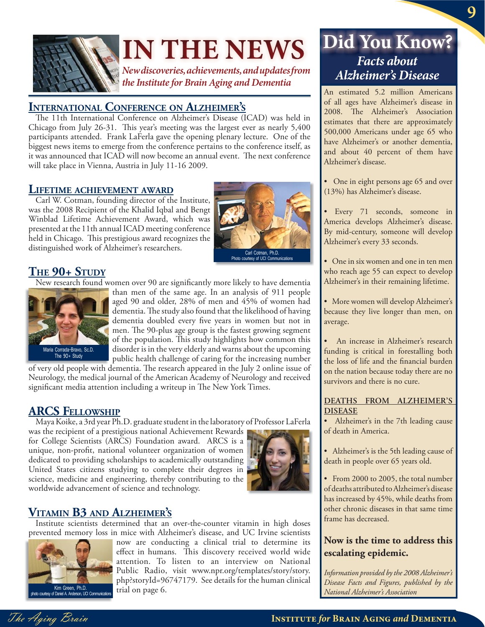

# **IN THE NEWS**

*New discoveries, achievements, and updates from the Institute for Brain Aging and Dementia*

#### **INTERNATIONAL CONFERENCE ON ALZHEIMER'S**

The 11th International Conference on Alzheimer's Disease (ICAD) was held in Chicago from July 26-31. This year's meeting was the largest ever as nearly 5,400 participants attended. Frank LaFerla gave the opening plenary lecture. One of the biggest news items to emerge from the conference pertains to the conference itself, as it was announced that ICAD will now become an annual event. The next conference will take place in Vienna, Austria in July 11-16 2009.

**LIFETIME ACHIEVEMENT AWARD** Carl W. Cotman, founding director of the Institute, was the 2008 Recipient of the Khalid Iqbal and Bengt Winblad Lifetime Achievement Award, which was presented at the 11th annual ICAD meeting conference held in Chicago. This prestigious award recognizes the distinguished work of Alzheimer's researchers.



Photo courtesy of UCI Communications

#### **THE 90+ STUDY**

New research found women over 90 are significantly more likely to have dementia



than men of the same age. In an analysis of 911 people aged 90 and older, 28% of men and 45% of women had dementia. The study also found that the likelihood of having dementia doubled every five years in women but not in men. The 90-plus age group is the fastest growing segment of the population. This study highlights how common this disorder is in the very elderly and warns about the upcoming public health challenge of caring for the increasing number

of very old people with dementia. The research appeared in the July 2 online issue of Neurology, the medical journal of the American Academy of Neurology and received significant media attention including a writeup in The New York Times.

#### **ARCS FELLOWSHIP**

Maya Koike, a 3rd year Ph.D. graduate student in the laboratory of Professor LaFerla

was the recipient of a prestigious national Achievement Rewards for College Scientists (ARCS) Foundation award. ARCS is a unique, non-profit, national volunteer organization of women dedicated to providing scholarships to academically outstanding United States citizens studying to complete their degrees in science, medicine and engineering, thereby contributing to the worldwide advancement of science and technology.



**VITAMIN B3 AND ALZHEIMER'S**<br>Institute scientists determined that an over-the-counter vitamin in high doses prevented memory loss in mice with Alzheimer's disease, and UC Irvine scientists



now are conducting a clinical trial to determine its effect in humans. This discovery received world wide attention. To listen to an interview on National Public Radio, visit www.npr.org/templates/story/story. php?storyId=96747179. See details for the human clinical trial on page 6.

### $Facts about$ *Alzheimer's Disease* **Did You Know?**

An estimated 5.2 million Americans of all ages have Alzheimer's disease in 2008. The Alzheimer's Association estimates that there are approximately 500,000 Americans under age 65 who have Alzheimer's or another dementia, and about 40 percent of them have Alzheimer's disease.

• One in eight persons age 65 and over (13%) has Alzheimer's disease.

• Every 71 seconds, someone in America develops Alzheimer's disease. By mid-century, someone will develop Alzheimer's every 33 seconds.

- One in six women and one in ten men who reach age 55 can expect to develop Alzheimer's in their remaining lifetime.
- More women will develop Alzheimer's because they live longer than men, on average.

• An increase in Alzheimer's research funding is critical in forestalling both the loss of life and the financial burden on the nation because today there are no survivors and there is no cure.

#### **DEATHS FROM ALZHEIMER'S DISEASE**

• Alzheimer's in the 7th leading cause of death in America.

- Alzheimer's is the 5th leading cause of death in people over 65 years old.
- From 2000 to 2005, the total number of deaths attributed to Alzheimer's disease has increased by 45%, while deaths from other chronic diseases in that same time frame has decreased.

#### **Now is the time to address this escalating epidemic.**

*Information provided by the 2008 Alzheimer's Disease Facts and Figures, published by the National Alzheimer's Association*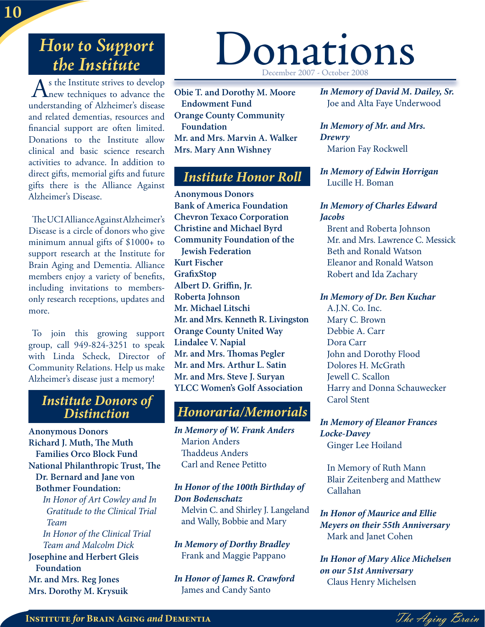### *How to Support the Institute*

As the Institute strives to develop<br>
new techniques to advance the understanding of Alzheimer's disease and related dementias, resources and financial support are often limited. Donations to the Institute allow clinical and basic science research activities to advance. In addition to direct gifts, memorial gifts and future gifts there is the Alliance Against Alzheimer's Disease.

The UCI Alliance Against Alzheimer's Disease is a circle of donors who give minimum annual gifts of \$1000+ to support research at the Institute for Brain Aging and Dementia. Alliance members enjoy a variety of benefits, including invitations to membersonly research receptions, updates and more.

To join this growing support group, call 949-824-3251 to speak with Linda Scheck, Director of Community Relations. Help us make Alzheimer's disease just a memory!

# *Institute Donors of Distinction Honoraria/Memorials*

**Anonymous Donors Richard J. Muth, The Muth Families Orco Block Fund National Philanthropic Trust, The Dr. Bernard and Jane von Bothmer Foundation:** *In Honor of Art Cowley and In* 

*Gratitude to the Clinical Trial Team In Honor of the Clinical Trial Team and Malcolm Dick*

#### **Josephine and Herbert Gleis Foundation Mr. and Mrs. Reg Jones Mrs. Dorothy M. Krysuik**

# Donations December 2007 - October 2008

**Obie T. and Dorothy M. Moore Endowment Fund Orange County Community Foundation Mr. and Mrs. Marvin A. Walker Mrs. Mary Ann Wishney**

#### *Institute Honor Roll*

**Anonymous Donors Bank of America Foundation Chevron Texaco Corporation Christine and Michael Byrd Community Foundation of the Jewish Federation Kurt Fischer Grafi xStop** Albert D. Griffin, Jr. **Roberta Johnson Mr. Michael Litschi Mr. and Mrs. Kenneth R. Livingston Orange County United Way Lindalee V. Napial Mr. and Mrs. Thomas Pegler Mr. and Mrs. Arthur L. Satin Mr. and Mrs. Steve J. Suryan YLCC Women's Golf Association**

*In Memory of W. Frank Anders* Marion Anders Thaddeus Anders Carl and Renee Petitto

#### *In Honor of the 100th Birthday of Don Bodenschatz*

Melvin C. and Shirley J. Langeland and Wally, Bobbie and Mary

*In Memory of Dorthy Bradley* Frank and Maggie Pappano

*In Honor of James R. Crawford* James and Candy Santo

*In Memory of David M. Dailey, Sr.* Joe and Alta Faye Underwood

*In Memory of Mr. and Mrs. Drewry* Marion Fay Rockwell

*In Memory of Edwin Horrigan* Lucille H. Boman

#### *In Memory of Charles Edward Jacobs*

Brent and Roberta Johnson Mr. and Mrs. Lawrence C. Messick Beth and Ronald Watson Eleanor and Ronald Watson Robert and Ida Zachary

#### *In Memory of Dr. Ben Kuchar*

A.J.N. Co. Inc. Mary C. Brown Debbie A. Carr Dora Carr John and Dorothy Flood Dolores H. McGrath Jewell C. Scallon Harry and Donna Schauwecker Carol Stent

*In Memory of Eleanor Frances Locke-Davey* Ginger Lee Hoiland

In Memory of Ruth Mann Blair Zeitenberg and Matthew Callahan

*In Honor of Maurice and Ellie Meyers on their 55th Anniversary* Mark and Janet Cohen

*In Honor of Mary Alice Michelsen on our 51st Anniversary* Claus Henry Michelsen

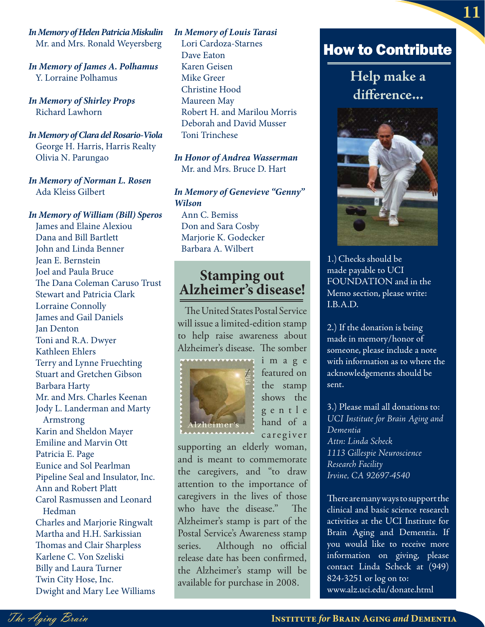*In Memory of Helen Patricia Miskulin* Mr. and Mrs. Ronald Weyersberg

*In Memory of James A. Polhamus* Y. Lorraine Polhamus

*In Memory of Shirley Props* Richard Lawhorn

*In Memory of Clara del Rosario-Viola* George H. Harris, Harris Realty Olivia N. Parungao

*In Memory of Norman L. Rosen* Ada Kleiss Gilbert

#### *In Memory of William (Bill) Speros*

James and Elaine Alexiou Dana and Bill Bartlett John and Linda Benner Jean E. Bernstein Joel and Paula Bruce The Dana Coleman Caruso Trust Stewart and Patricia Clark Lorraine Connolly James and Gail Daniels Jan Denton Toni and R.A. Dwyer Kathleen Ehlers Terry and Lynne Fruechting Stuart and Gretchen Gibson Barbara Harty Mr. and Mrs. Charles Keenan Jody L. Landerman and Marty Armstrong Karin and Sheldon Mayer Emiline and Marvin Ott Patricia E. Page Eunice and Sol Pearlman Pipeline Seal and Insulator, Inc. Ann and Robert Platt Carol Rasmussen and Leonard Hedman Charles and Marjorie Ringwalt Martha and H.H. Sarkissian Thomas and Clair Sharpless Karlene C. Von Szeliski Billy and Laura Turner Twin City Hose, Inc. Dwight and Mary Lee Williams

*In Memory of Louis Tarasi* Lori Cardoza-Starnes Dave Eaton Karen Geisen Mike Greer Christine Hood Maureen May Robert H. and Marilou Morris Deborah and David Musser Toni Trinchese

*In Honor of Andrea Wasserman* Mr. and Mrs. Bruce D. Hart

#### *In Memory of Genevieve "Genny" Wilson*

Ann C. Bemiss Don and Sara Cosby Marjorie K. Godecker Barbara A. Wilbert

# **Stamping out Alzheimer's disease!**

The United States Postal Service will issue a limited-edition stamp to help raise awareness about Alzheimer's disease. The somber



i m a g e featured on the stamp shows the g e n t l e hand of a caregiver

supporting an elderly woman, and is meant to commemorate the caregivers, and "to draw attention to the importance of caregivers in the lives of those who have the disease." The Alzheimer's stamp is part of the Postal Service's Awareness stamp series. Although no official release date has been confirmed, the Alzheimer's stamp will be available for purchase in 2008.

### How to Contribute

**Help make a**  difference...



1.)Checks should be made payable to UCI FOUNDATION and in the Memo section, please write: I.B.A.D.

2.) If the donation is being made in memory/honor of someone, please include a note with information as to where the acknowledgements should be sent.

3.) Please mail all donations to: *UCI Institute for Brain Aging and Dementia Attn: Linda Scheck 1113 Gillespie Neuroscience Research Facility Irvine, CA 92697-4540*

There are many ways to support the clinical and basic science research activities at the UCI Institute for Brain Aging and Dementia. If you would like to receive more information on giving, please contact Linda Scheck at (949) 824-3251 or log on to: www.alz.uci.edu/donate.html